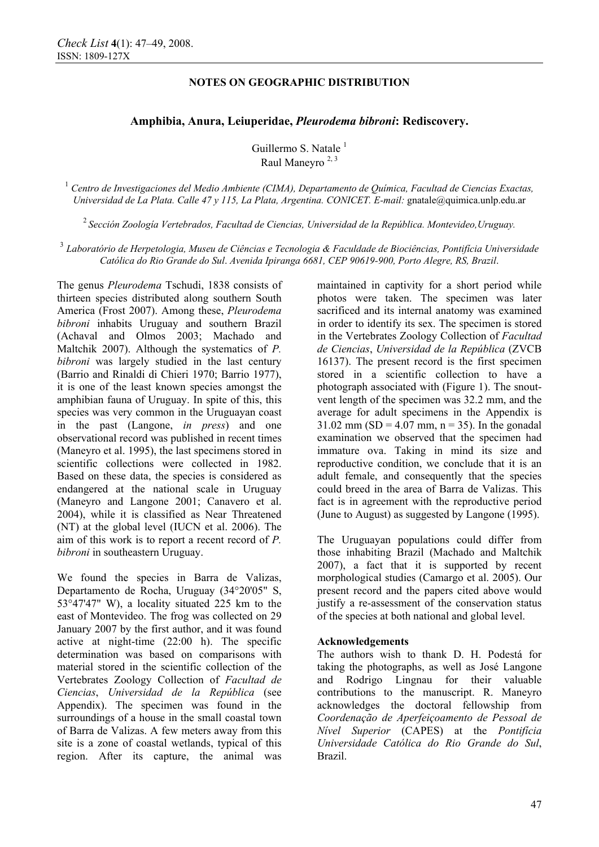# **NOTES ON GEOGRAPHIC DISTRIBUTION**

# **Amphibia, Anura, Leiuperidae,** *Pleurodema bibroni***: Rediscovery.**

Guillermo S. Natale  $<sup>1</sup>$ </sup> Raul Maneyro 2, 3

<sup>1</sup> *Centro de Investigaciones del Medio Ambiente (CIMA), Departamento de Química, Facultad de Ciencias Exactas, Universidad de La Plata. Calle 47 y 115, La Plata, Argentina. CONICET. E-mail:* gnatale@quimica.unlp.edu.ar

<sup>2</sup>*Sección Zoología Vertebrados, Facultad de Ciencias, Universidad de la República. Montevideo,Uruguay.* 

<sup>3</sup> *Laboratório de Herpetologia, Museu de Ciências e Tecnologia & Faculdade de Biociências, Pontifícia Universidade Católica do Rio Grande do Sul*. *Avenida Ipiranga 6681, CEP 90619-900, Porto Alegre, RS, Brazil*.

The genus *Pleurodema* Tschudi, 1838 consists of thirteen species distributed along southern South America (Frost 2007). Among these, *Pleurodema bibroni* inhabits Uruguay and southern Brazil (Achaval and Olmos 2003; Machado and Maltchik 2007). Although the systematics of *P. bibroni* was largely studied in the last century (Barrio and Rinaldi di Chieri 1970; Barrio 1977), it is one of the least known species amongst the amphibian fauna of Uruguay. In spite of this, this species was very common in the Uruguayan coast in the past (Langone, *in press*) and one observational record was published in recent times (Maneyro et al. 1995), the last specimens stored in scientific collections were collected in 1982. Based on these data, the species is considered as endangered at the national scale in Uruguay (Maneyro and Langone 2001; Canavero et al. 2004), while it is classified as Near Threatened (NT) at the global level (IUCN et al. 2006). The aim of this work is to report a recent record of *P. bibroni* in southeastern Uruguay.

We found the species in Barra de Valizas, Departamento de Rocha, Uruguay (34°20'05" S, 53°47'47" W), a locality situated 225 km to the east of Montevideo. The frog was collected on 29 January 2007 by the first author, and it was found active at night-time (22:00 h). The specific determination was based on comparisons with material stored in the scientific collection of the Vertebrates Zoology Collection of *Facultad de Ciencias*, *Universidad de la República* (see Appendix). The specimen was found in the surroundings of a house in the small coastal town of Barra de Valizas. A few meters away from this site is a zone of coastal wetlands, typical of this region. After its capture, the animal was maintained in captivity for a short period while photos were taken. The specimen was later sacrificed and its internal anatomy was examined in order to identify its sex. The specimen is stored in the Vertebrates Zoology Collection of *Facultad de Ciencias*, *Universidad de la República* (ZVCB 16137). The present record is the first specimen stored in a scientific collection to have a photograph associated with (Figure 1). The snoutvent length of the specimen was 32.2 mm, and the average for adult specimens in the Appendix is  $31.02 \text{ mm (SD} = 4.07 \text{ mm}, n = 35)$ . In the gonadal examination we observed that the specimen had immature ova. Taking in mind its size and reproductive condition, we conclude that it is an adult female, and consequently that the species could breed in the area of Barra de Valizas. This fact is in agreement with the reproductive period (June to August) as suggested by Langone (1995).

The Uruguayan populations could differ from those inhabiting Brazil (Machado and Maltchik 2007), a fact that it is supported by recent morphological studies (Camargo et al. 2005). Our present record and the papers cited above would justify a re-assessment of the conservation status of the species at both national and global level.

# **Acknowledgements**

The authors wish to thank D. H. Podestá for taking the photographs, as well as José Langone and Rodrigo Lingnau for their valuable contributions to the manuscript. R. Maneyro acknowledges the doctoral fellowship from *Coordenação de Aperfeiçoamento de Pessoal de Nível Superior* (CAPES) at the *Pontifícia Universidade Católica do Rio Grande do Sul*, Brazil.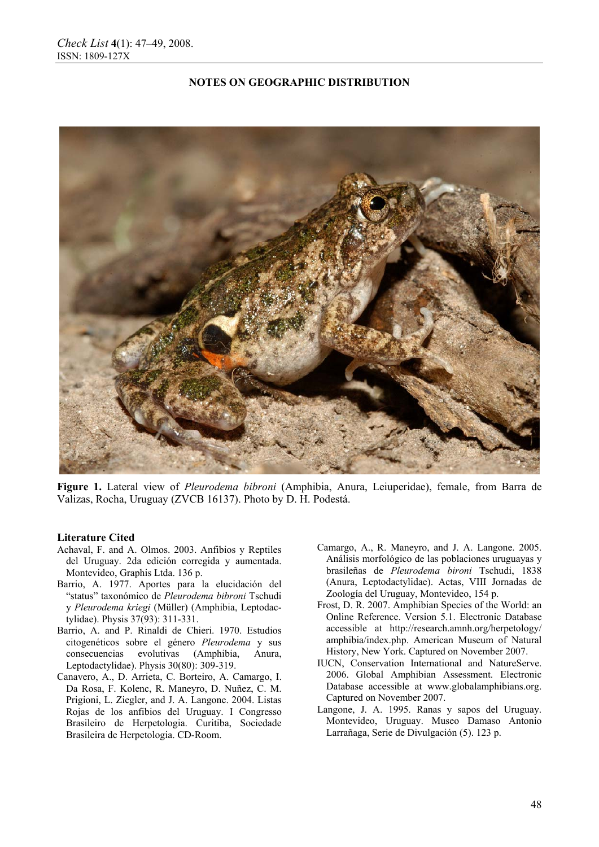### **NOTES ON GEOGRAPHIC DISTRIBUTION**



**Figure 1.** Lateral view of *Pleurodema bibroni* (Amphibia, Anura, Leiuperidae), female, from Barra de Valizas, Rocha, Uruguay (ZVCB 16137). Photo by D. H. Podestá.

#### **Literature Cited**

- Achaval, F. and A. Olmos. 2003. Anfibios y Reptiles del Uruguay. 2da edición corregida y aumentada. Montevideo, Graphis Ltda. 136 p.
- Barrio, A. 1977. Aportes para la elucidación del "status" taxonómico de *Pleurodema bibroni* Tschudi y *Pleurodema kriegi* (Müller) (Amphibia, Leptodactylidae). Physis 37(93): 311-331.
- Barrio, A. and P. Rinaldi de Chieri. 1970. Estudios citogenéticos sobre el género *Pleurodema* y sus consecuencias evolutivas (Amphibia, Anura, Leptodactylidae). Physis 30(80): 309-319.
- Canavero, A., D. Arrieta, C. Borteiro, A. Camargo, I. Da Rosa, F. Kolenc, R. Maneyro, D. Nuñez, C. M. Prigioni, L. Ziegler, and J. A. Langone. 2004. Listas Rojas de los anfibios del Uruguay. I Congresso Brasileiro de Herpetologia. Curitiba, Sociedade Brasileira de Herpetologia. CD-Room.
- Camargo, A., R. Maneyro, and J. A. Langone. 2005. Análisis morfológico de las poblaciones uruguayas y brasileñas de *Pleurodema bironi* Tschudi, 1838 (Anura, Leptodactylidae). Actas, VIII Jornadas de Zoología del Uruguay, Montevideo, 154 p.
- Frost, D. R. 2007. Amphibian Species of the World: an Online Reference. Version 5.1. Electronic Database accessible at http://research.amnh.org/herpetology/ amphibia/index.php. American Museum of Natural History, New York. Captured on November 2007.
- IUCN, Conservation International and NatureServe. 2006. Global Amphibian Assessment. Electronic Database accessible at www.globalamphibians.org. Captured on November 2007.
- Langone, J. A. 1995. Ranas y sapos del Uruguay. Montevideo, Uruguay. Museo Damaso Antonio Larrañaga, Serie de Divulgación (5). 123 p.